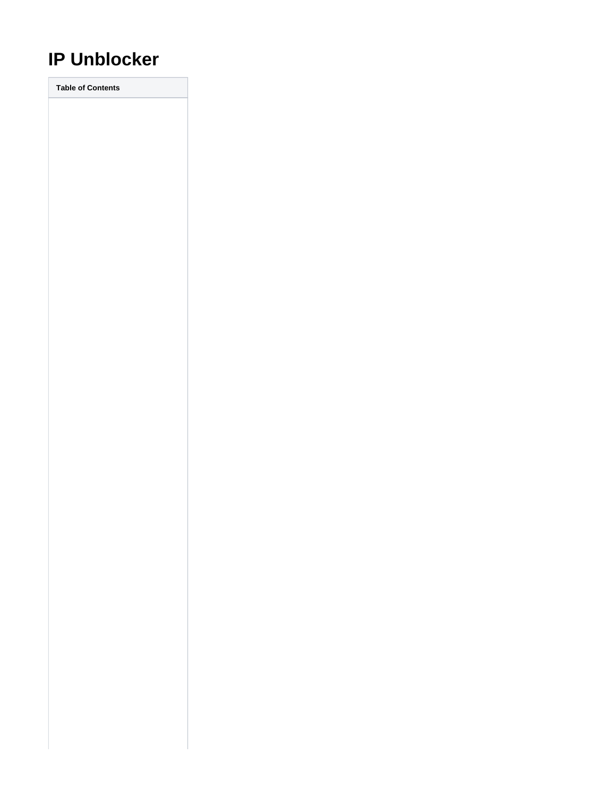# **IP Unblocker**

**Table of Contents**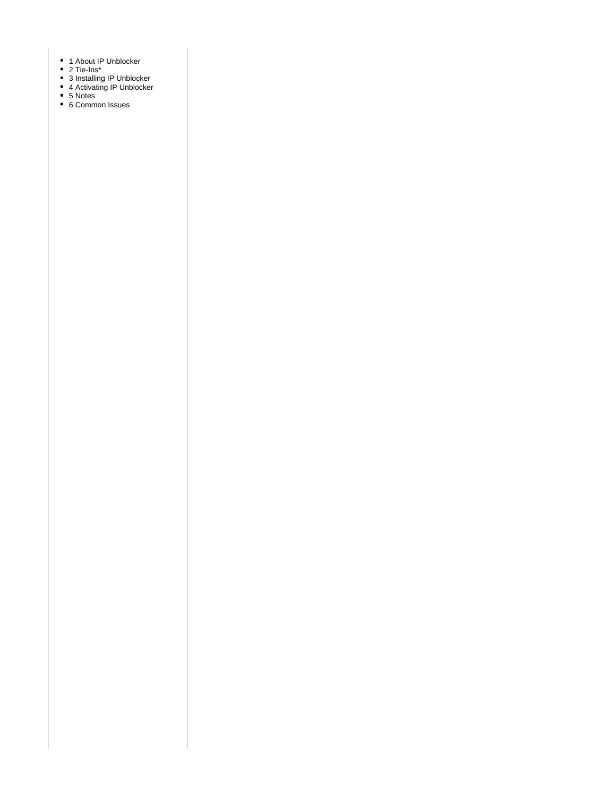- 1 [About IP Unblocker](#page-3-0)
- [Tie-Ins\\*](#page-3-1)
- [Installing IP Unblocker](#page-3-2)
- [Activating IP Unblocker](#page-3-3)
- [Notes](#page-4-0)
- [Common Issues](#page-4-1)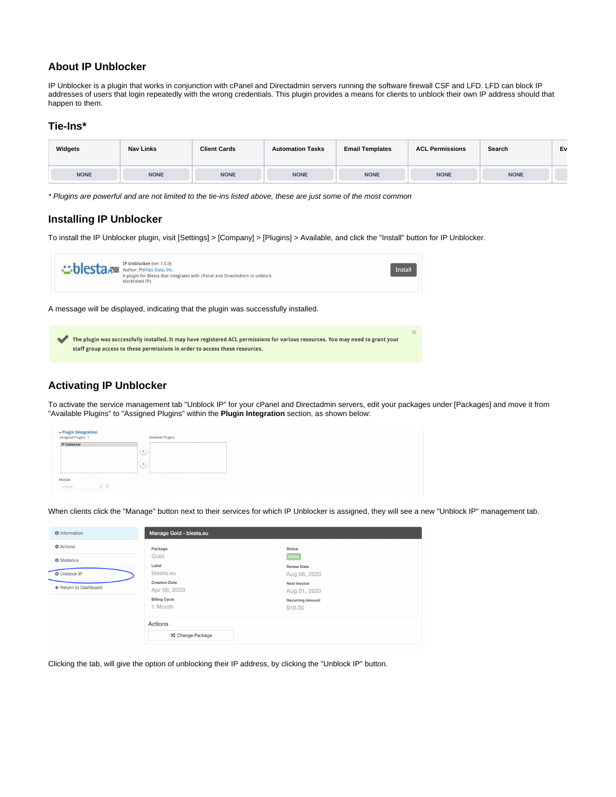## <span id="page-3-0"></span>**About IP Unblocker**

IP Unblocker is a plugin that works in conjunction with cPanel and Directadmin servers running the software firewall CSF and LFD. LFD can block IP addresses of users that login repeatedly with the wrong credentials. This plugin provides a means for clients to unblock their own IP address should that happen to them.

#### <span id="page-3-1"></span>**Tie-Ins\***

| Widgets     | <b>Nav Links</b> | <b>Client Cards</b> | <b>Automation Tasks</b> | <b>Email Templates</b> | <b>ACL Permissions</b> | Search      | Ev |
|-------------|------------------|---------------------|-------------------------|------------------------|------------------------|-------------|----|
| <b>NONE</b> | <b>NONE</b>      | <b>NONE</b>         | <b>NONE</b>             | <b>NONE</b>            | <b>NONE</b>            | <b>NONE</b> |    |

\* Plugins are powerful and are not limited to the tie-ins listed above, these are just some of the most common

### <span id="page-3-2"></span>**Installing IP Unblocker**

To install the IP Unblocker plugin, visit [Settings] > [Company] > [Plugins] > Available, and click the "Install" button for IP Unblocker.



| The plugin was successfully installed. It may have registered ACL permissions for various resources. You may need to grant your |  |
|---------------------------------------------------------------------------------------------------------------------------------|--|
| staff group access to these permissions in order to access these resources.                                                     |  |

## <span id="page-3-3"></span>**Activating IP Unblocker**

To activate the service management tab "Unblock IP" for your cPanel and Directadmin servers, edit your packages under [Packages] and move it from "Available Plugins" to "Assigned Plugins" within the **Plugin Integration** section, as shown below:

| ► Plugin Integration<br>Assigned Plugins ? |         | Available Plugins |
|--------------------------------------------|---------|-------------------|
| IP Unblocker                               | ्       |                   |
|                                            | $\odot$ |                   |
| Module                                     |         |                   |
| $\circ$ ?<br>cPanel                        |         |                   |

When clients click the "Manage" button next to their services for which IP Unblocker is assigned, they will see a new "Unblock IP" management tab.

| <b>O</b> Information  | Manage Gold - blesta.eu              |                                    |  |  |  |
|-----------------------|--------------------------------------|------------------------------------|--|--|--|
| <b>D</b> Actions      | Package                              | <b>Status</b>                      |  |  |  |
| <b>₿</b> Statistics   | Gold<br>Label                        | Active<br><b>Renew Date</b>        |  |  |  |
| <b>☆ Unblock IP</b>   | blesta.eu                            | Aug 06, 2020                       |  |  |  |
| ← Return to Dashboard | <b>Creation Date</b><br>Apr 06, 2020 | Next Invoice<br>Aug 01, 2020       |  |  |  |
|                       | <b>Billing Cycle</b><br>1 Month      | <b>Recurring Amount</b><br>\$10.00 |  |  |  |
|                       | Actions                              |                                    |  |  |  |
|                       | X Change Package                     |                                    |  |  |  |

Clicking the tab, will give the option of unblocking their IP address, by clicking the "Unblock IP" button.